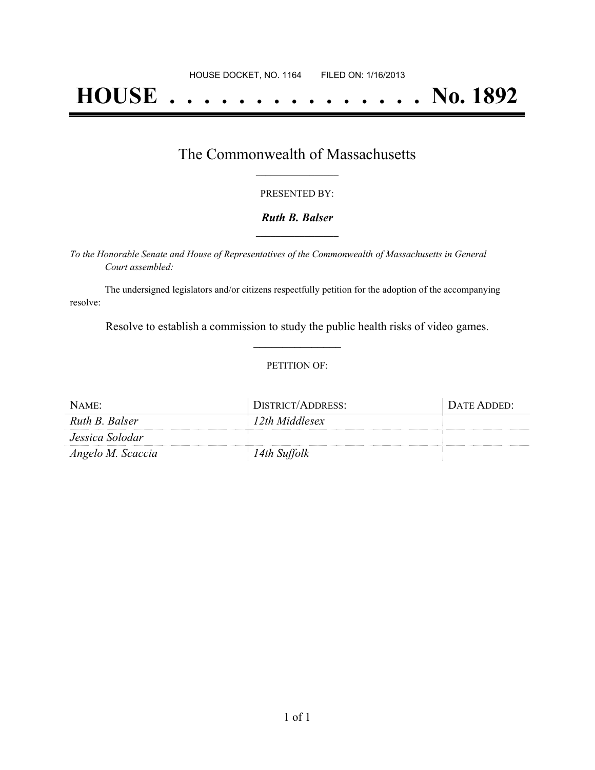# **HOUSE . . . . . . . . . . . . . . . No. 1892**

### The Commonwealth of Massachusetts **\_\_\_\_\_\_\_\_\_\_\_\_\_\_\_\_\_**

#### PRESENTED BY:

#### *Ruth B. Balser* **\_\_\_\_\_\_\_\_\_\_\_\_\_\_\_\_\_**

*To the Honorable Senate and House of Representatives of the Commonwealth of Massachusetts in General Court assembled:*

The undersigned legislators and/or citizens respectfully petition for the adoption of the accompanying resolve:

Resolve to establish a commission to study the public health risks of video games. **\_\_\_\_\_\_\_\_\_\_\_\_\_\_\_**

#### PETITION OF:

| NAME:             | DISTRICT/ADDRESS: | DATE ADDED: |
|-------------------|-------------------|-------------|
| Ruth B. Balser    | 12th Middlesex    |             |
| Jessica Solodar   |                   |             |
| Angelo M. Scaccia | 14th Suffolk      |             |